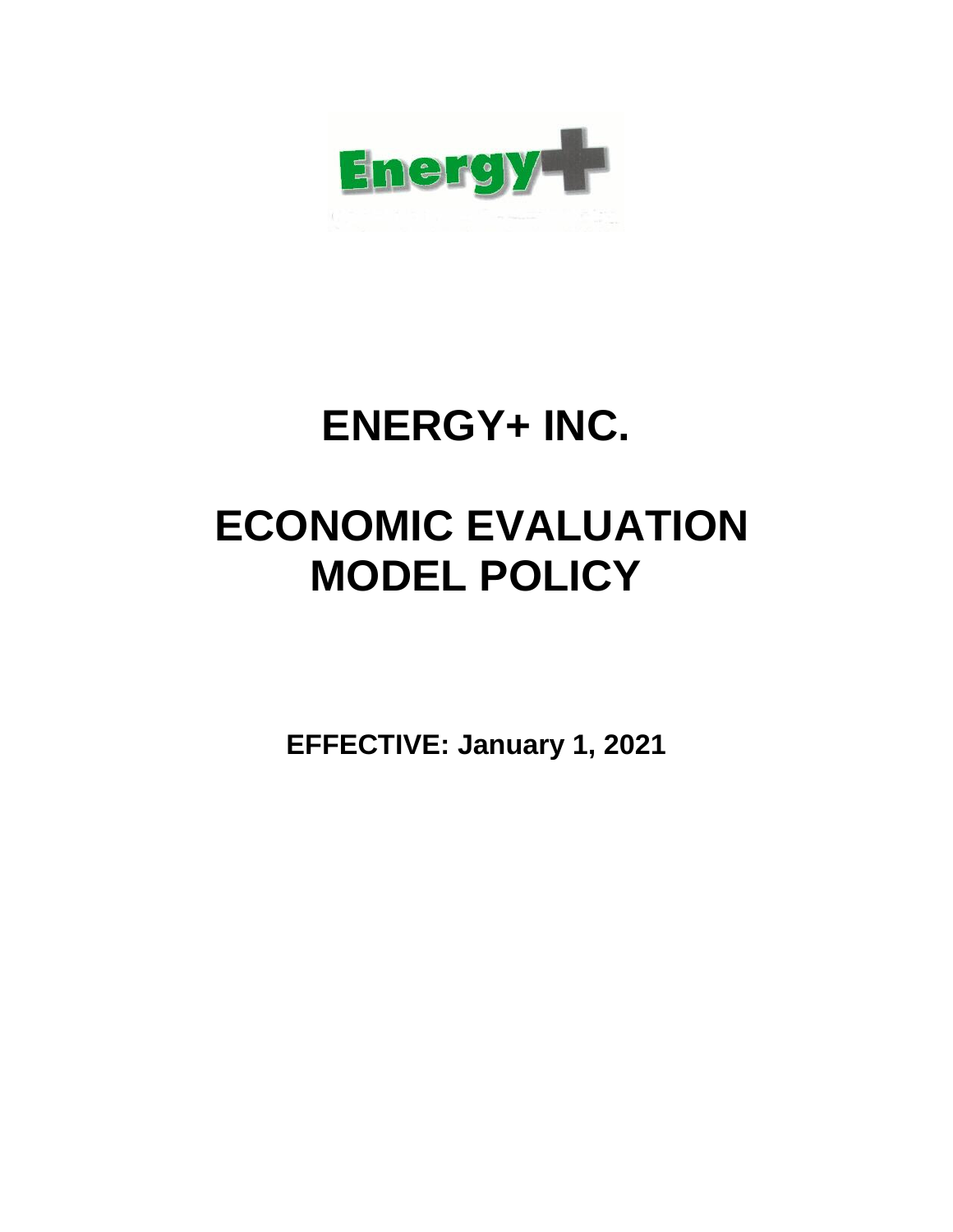

# **ENERGY+ INC.**

# **ECONOMIC EVALUATION MODEL POLICY**

**EFFECTIVE: January 1, 2021**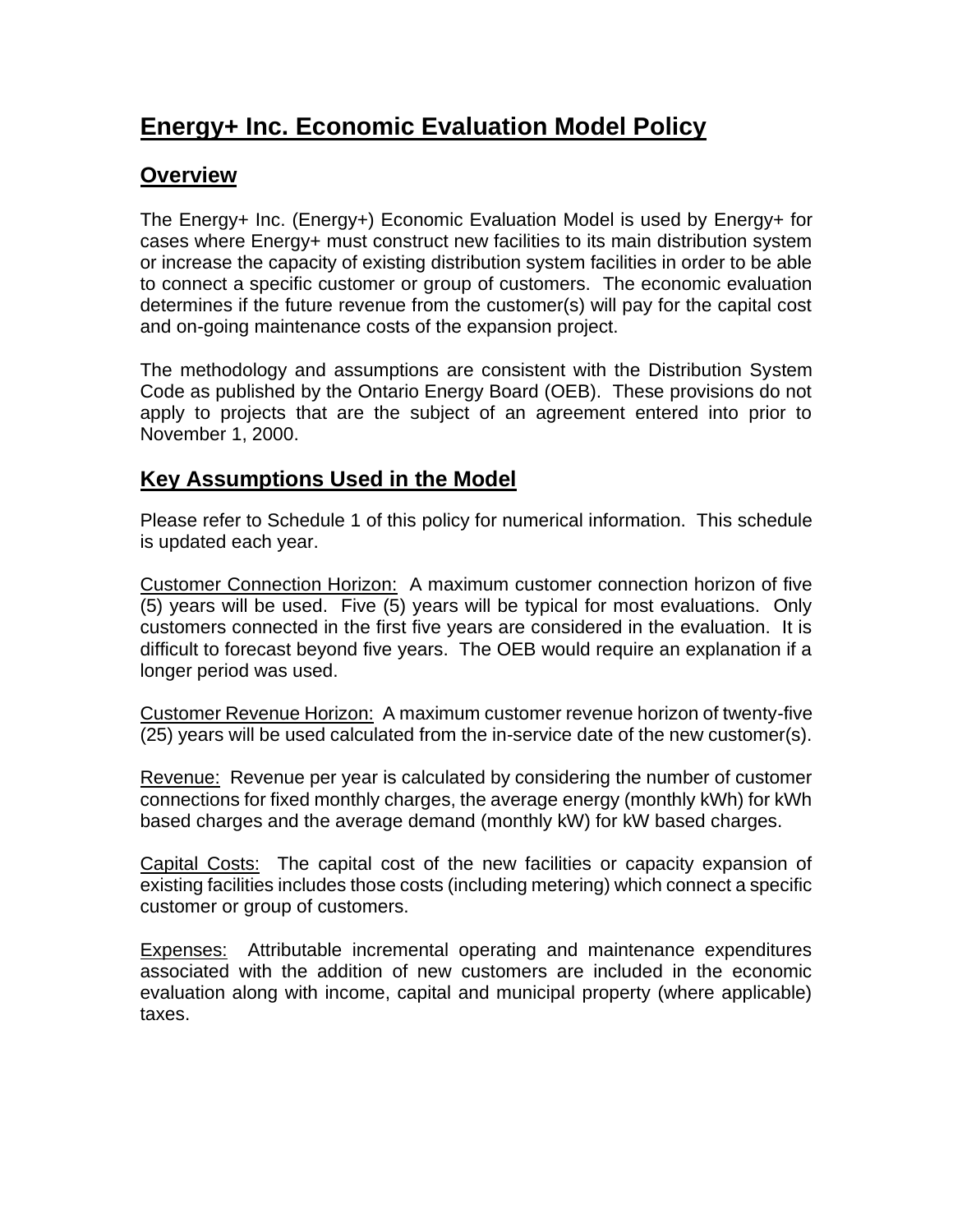# **Energy+ Inc. Economic Evaluation Model Policy**

## **Overview**

The Energy+ Inc. (Energy+) Economic Evaluation Model is used by Energy+ for cases where Energy+ must construct new facilities to its main distribution system or increase the capacity of existing distribution system facilities in order to be able to connect a specific customer or group of customers. The economic evaluation determines if the future revenue from the customer(s) will pay for the capital cost and on-going maintenance costs of the expansion project.

The methodology and assumptions are consistent with the Distribution System Code as published by the Ontario Energy Board (OEB). These provisions do not apply to projects that are the subject of an agreement entered into prior to November 1, 2000.

# **Key Assumptions Used in the Model**

Please refer to Schedule 1 of this policy for numerical information. This schedule is updated each year.

Customer Connection Horizon: A maximum customer connection horizon of five (5) years will be used. Five (5) years will be typical for most evaluations. Only customers connected in the first five years are considered in the evaluation. It is difficult to forecast beyond five years. The OEB would require an explanation if a longer period was used.

Customer Revenue Horizon: A maximum customer revenue horizon of twenty-five (25) years will be used calculated from the in-service date of the new customer(s).

Revenue: Revenue per year is calculated by considering the number of customer connections for fixed monthly charges, the average energy (monthly kWh) for kWh based charges and the average demand (monthly kW) for kW based charges.

Capital Costs: The capital cost of the new facilities or capacity expansion of existing facilities includes those costs (including metering) which connect a specific customer or group of customers.

Expenses: Attributable incremental operating and maintenance expenditures associated with the addition of new customers are included in the economic evaluation along with income, capital and municipal property (where applicable) taxes.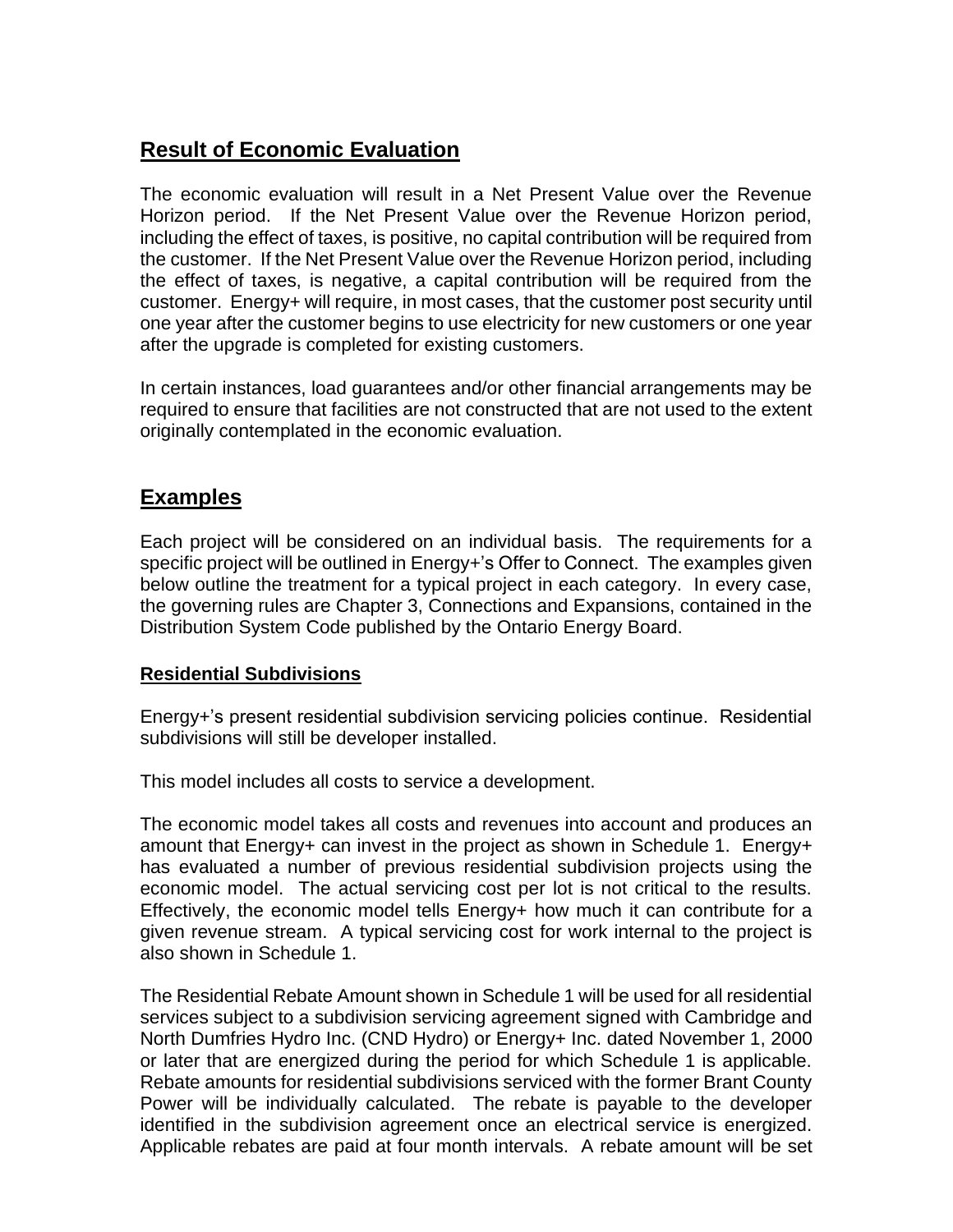### **Result of Economic Evaluation**

The economic evaluation will result in a Net Present Value over the Revenue Horizon period. If the Net Present Value over the Revenue Horizon period, including the effect of taxes, is positive, no capital contribution will be required from the customer. If the Net Present Value over the Revenue Horizon period, including the effect of taxes, is negative, a capital contribution will be required from the customer. Energy+ will require, in most cases, that the customer post security until one year after the customer begins to use electricity for new customers or one year after the upgrade is completed for existing customers.

In certain instances, load guarantees and/or other financial arrangements may be required to ensure that facilities are not constructed that are not used to the extent originally contemplated in the economic evaluation.

#### **Examples**

Each project will be considered on an individual basis. The requirements for a specific project will be outlined in Energy+'s Offer to Connect. The examples given below outline the treatment for a typical project in each category. In every case, the governing rules are Chapter 3, Connections and Expansions, contained in the Distribution System Code published by the Ontario Energy Board.

#### **Residential Subdivisions**

Energy+'s present residential subdivision servicing policies continue. Residential subdivisions will still be developer installed.

This model includes all costs to service a development.

The economic model takes all costs and revenues into account and produces an amount that Energy+ can invest in the project as shown in Schedule 1. Energy+ has evaluated a number of previous residential subdivision projects using the economic model. The actual servicing cost per lot is not critical to the results. Effectively, the economic model tells Energy+ how much it can contribute for a given revenue stream. A typical servicing cost for work internal to the project is also shown in Schedule 1.

The Residential Rebate Amount shown in Schedule 1 will be used for all residential services subject to a subdivision servicing agreement signed with Cambridge and North Dumfries Hydro Inc. (CND Hydro) or Energy+ Inc. dated November 1, 2000 or later that are energized during the period for which Schedule 1 is applicable. Rebate amounts for residential subdivisions serviced with the former Brant County Power will be individually calculated. The rebate is payable to the developer identified in the subdivision agreement once an electrical service is energized. Applicable rebates are paid at four month intervals. A rebate amount will be set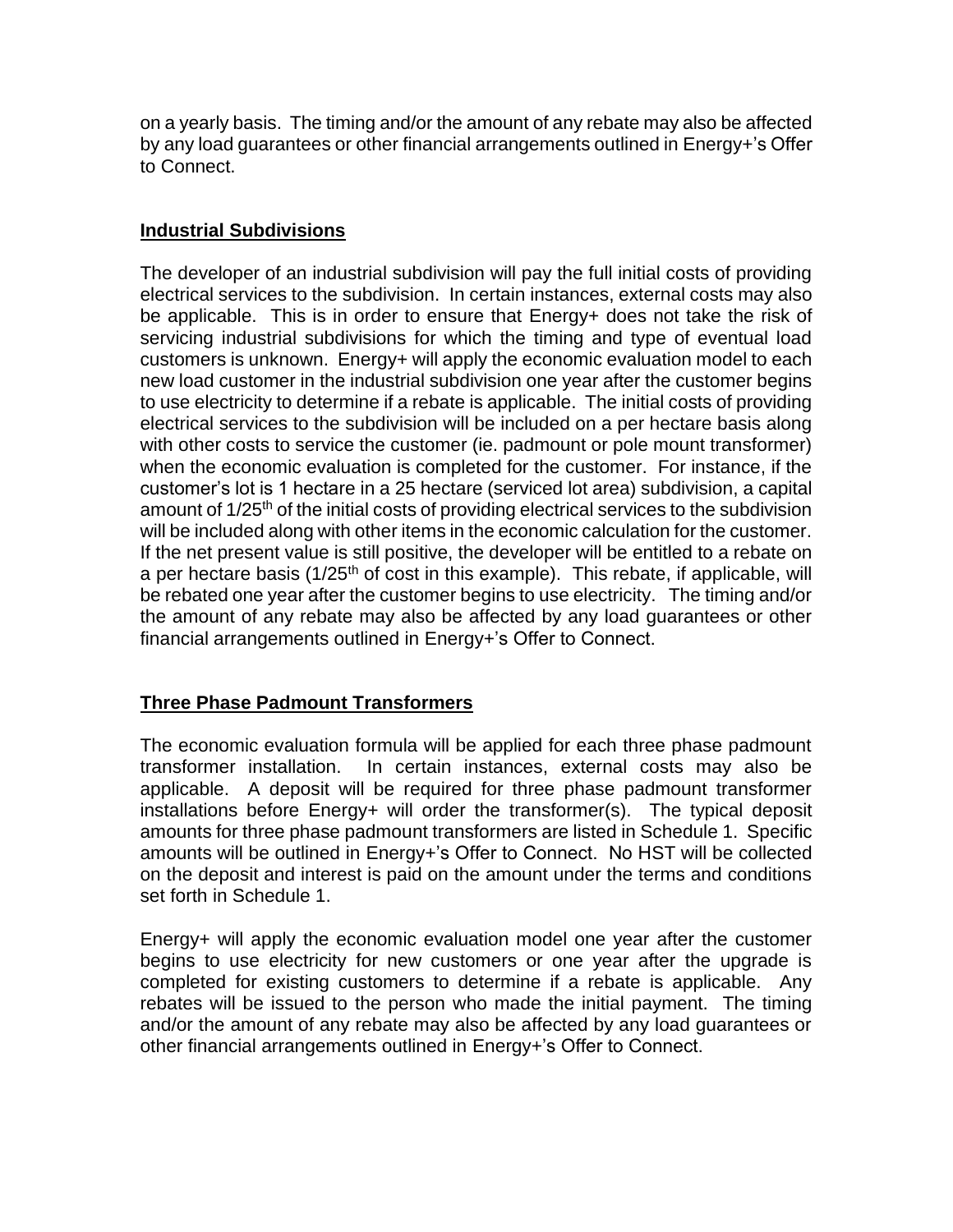on a yearly basis. The timing and/or the amount of any rebate may also be affected by any load guarantees or other financial arrangements outlined in Energy+'s Offer to Connect.

#### **Industrial Subdivisions**

The developer of an industrial subdivision will pay the full initial costs of providing electrical services to the subdivision. In certain instances, external costs may also be applicable. This is in order to ensure that Energy+ does not take the risk of servicing industrial subdivisions for which the timing and type of eventual load customers is unknown. Energy+ will apply the economic evaluation model to each new load customer in the industrial subdivision one year after the customer begins to use electricity to determine if a rebate is applicable. The initial costs of providing electrical services to the subdivision will be included on a per hectare basis along with other costs to service the customer (ie. padmount or pole mount transformer) when the economic evaluation is completed for the customer. For instance, if the customer's lot is 1 hectare in a 25 hectare (serviced lot area) subdivision, a capital amount of 1/25<sup>th</sup> of the initial costs of providing electrical services to the subdivision will be included along with other items in the economic calculation for the customer. If the net present value is still positive, the developer will be entitled to a rebate on a per hectare basis (1/25<sup>th</sup> of cost in this example). This rebate, if applicable, will be rebated one year after the customer begins to use electricity. The timing and/or the amount of any rebate may also be affected by any load guarantees or other financial arrangements outlined in Energy+'s Offer to Connect.

#### **Three Phase Padmount Transformers**

The economic evaluation formula will be applied for each three phase padmount transformer installation. In certain instances, external costs may also be applicable. A deposit will be required for three phase padmount transformer installations before Energy+ will order the transformer(s). The typical deposit amounts for three phase padmount transformers are listed in Schedule 1. Specific amounts will be outlined in Energy+'s Offer to Connect. No HST will be collected on the deposit and interest is paid on the amount under the terms and conditions set forth in Schedule 1.

Energy+ will apply the economic evaluation model one year after the customer begins to use electricity for new customers or one year after the upgrade is completed for existing customers to determine if a rebate is applicable. Any rebates will be issued to the person who made the initial payment. The timing and/or the amount of any rebate may also be affected by any load guarantees or other financial arrangements outlined in Energy+'s Offer to Connect.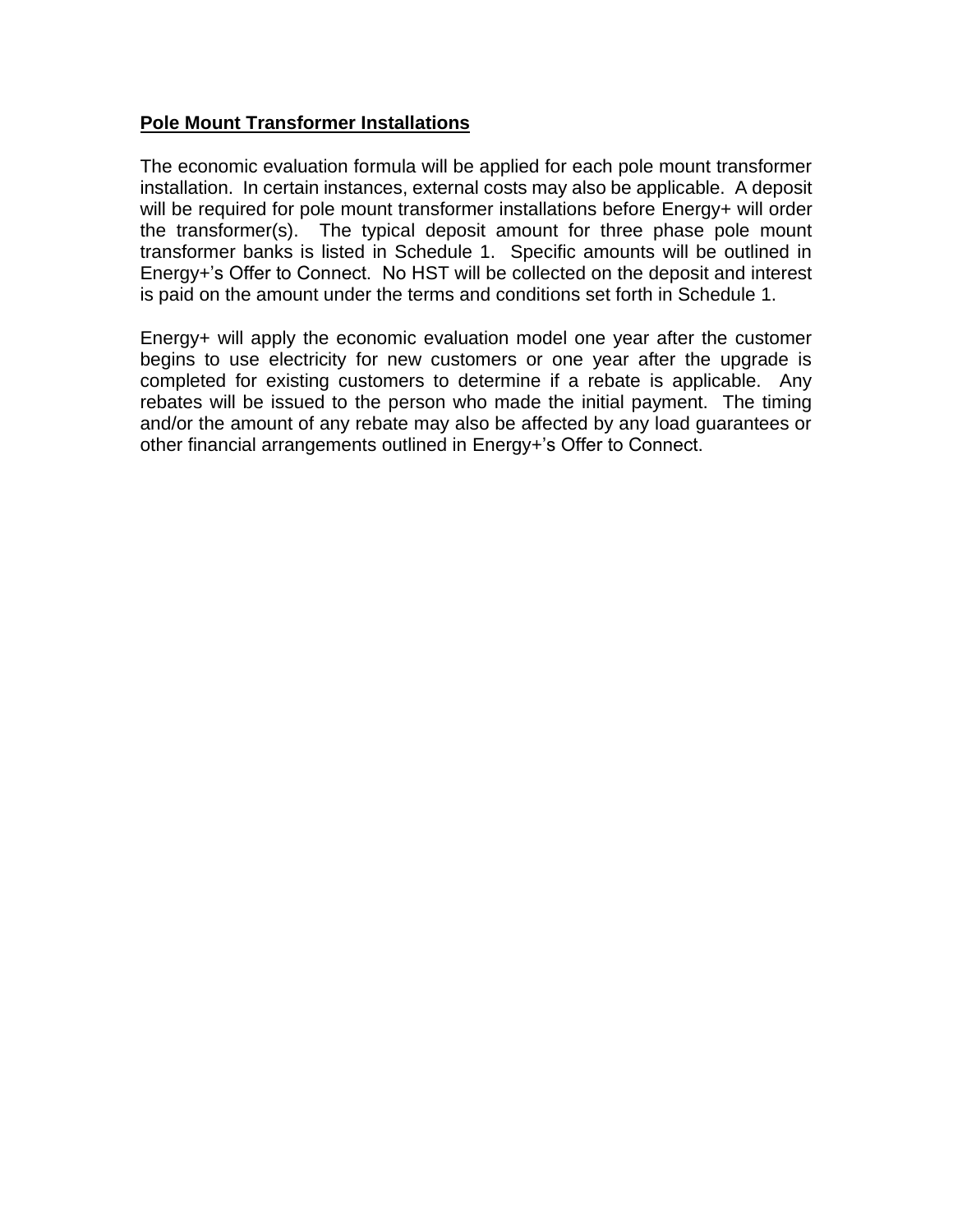#### **Pole Mount Transformer Installations**

The economic evaluation formula will be applied for each pole mount transformer installation. In certain instances, external costs may also be applicable. A deposit will be required for pole mount transformer installations before Energy+ will order the transformer(s). The typical deposit amount for three phase pole mount transformer banks is listed in Schedule 1. Specific amounts will be outlined in Energy+'s Offer to Connect. No HST will be collected on the deposit and interest is paid on the amount under the terms and conditions set forth in Schedule 1.

Energy+ will apply the economic evaluation model one year after the customer begins to use electricity for new customers or one year after the upgrade is completed for existing customers to determine if a rebate is applicable. Any rebates will be issued to the person who made the initial payment. The timing and/or the amount of any rebate may also be affected by any load guarantees or other financial arrangements outlined in Energy+'s Offer to Connect.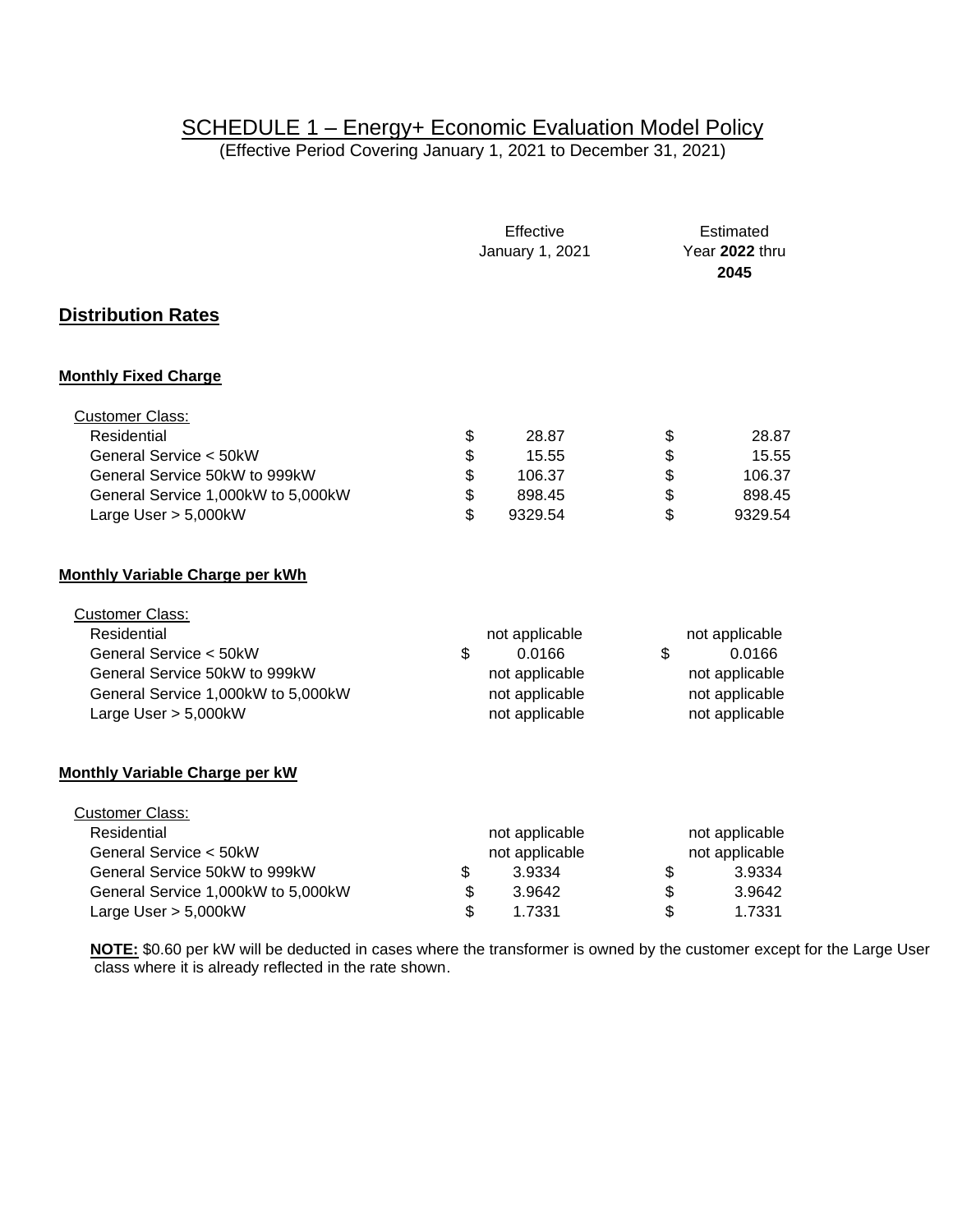### SCHEDULE 1 – Energy+ Economic Evaluation Model Policy

(Effective Period Covering January 1, 2021 to December 31, 2021)

|                                       | Effective<br>January 1, 2021 |                |          | Estimated<br>Year 2022 thru<br>2045 |  |
|---------------------------------------|------------------------------|----------------|----------|-------------------------------------|--|
| <b>Distribution Rates</b>             |                              |                |          |                                     |  |
| <b>Monthly Fixed Charge</b>           |                              |                |          |                                     |  |
| <b>Customer Class:</b>                |                              |                |          |                                     |  |
| Residential                           | \$                           | 28.87          | \$       | 28.87                               |  |
| General Service < 50kW                | \$                           | 15.55          | \$       | 15.55                               |  |
| General Service 50kW to 999kW         | \$                           | 106.37         | \$<br>\$ | 106.37                              |  |
| General Service 1,000kW to 5,000kW    | \$                           | 898.45         |          | 898.45                              |  |
| Large User > 5,000kW                  | \$                           | 9329.54        | \$       | 9329.54                             |  |
| Monthly Variable Charge per kWh       |                              |                |          |                                     |  |
| <b>Customer Class:</b>                |                              |                |          |                                     |  |
| Residential                           |                              | not applicable |          | not applicable                      |  |
| General Service < 50kW                | \$                           | 0.0166         | \$       | 0.0166                              |  |
| General Service 50kW to 999kW         |                              | not applicable |          | not applicable                      |  |
| General Service 1,000kW to 5,000kW    |                              | not applicable |          | not applicable                      |  |
| Large User > 5,000kW                  |                              | not applicable |          | not applicable                      |  |
| <b>Monthly Variable Charge per kW</b> |                              |                |          |                                     |  |
| <b>Customer Class:</b>                |                              |                |          |                                     |  |
| Residential                           |                              | not applicable |          | not applicable                      |  |
| General Service < 50kW                |                              | not applicable |          | not applicable                      |  |
| General Service 50kW to 999kW         | \$                           | 3.9334         | \$       | 3.9334                              |  |
| General Service 1,000kW to 5,000kW    | \$                           | 3.9642         | \$       | 3.9642                              |  |
| Large User $> 5,000kW$                | \$                           | 1.7331         | \$       | 1.7331                              |  |

**NOTE:** \$0.60 per kW will be deducted in cases where the transformer is owned by the customer except for the Large User class where it is already reflected in the rate shown.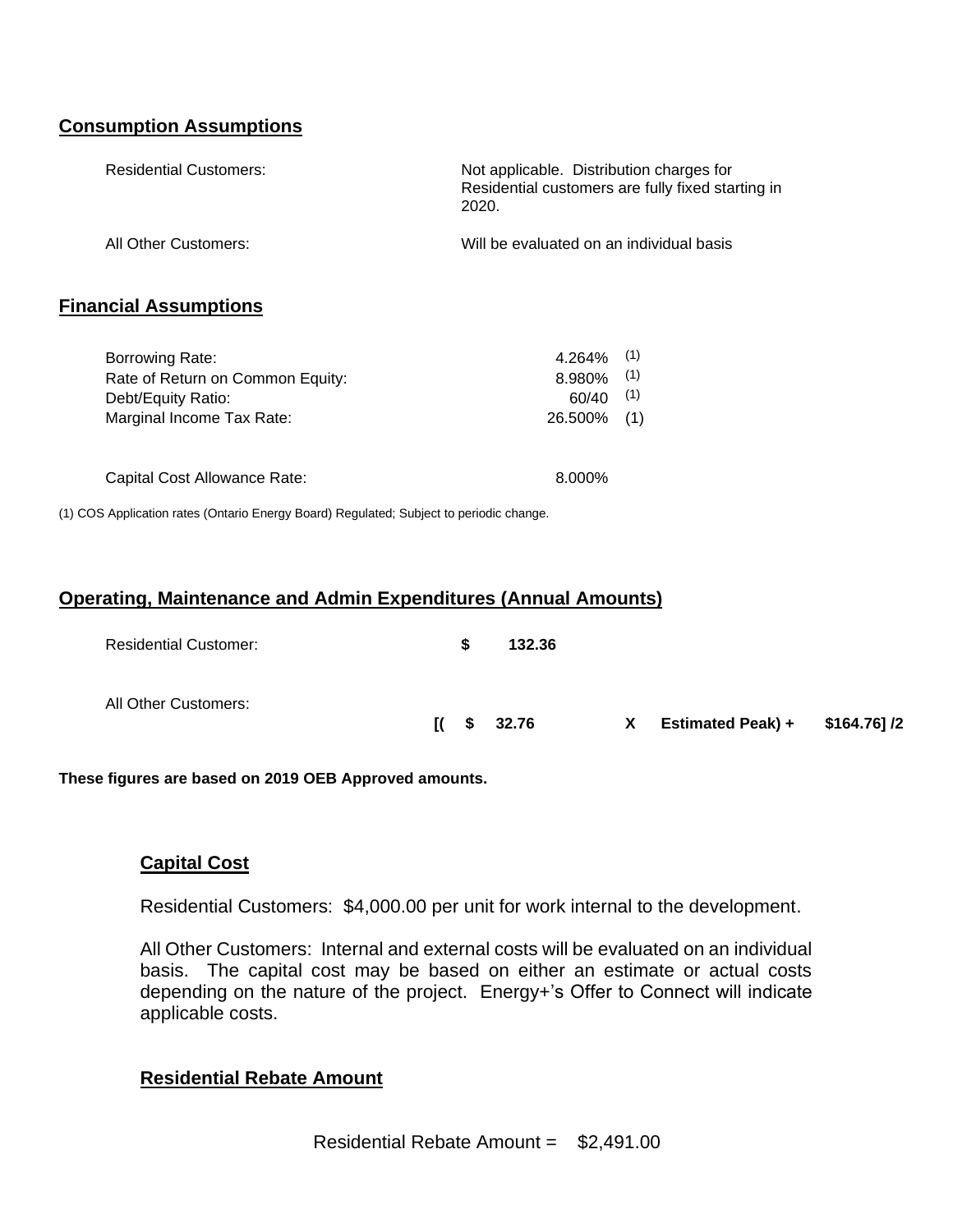#### **Consumption Assumptions**

| <b>Residential Customers:</b> | Not applicable. Distribution charges for<br>Residential customers are fully fixed starting in<br>2020. |
|-------------------------------|--------------------------------------------------------------------------------------------------------|
| All Other Customers:          | Will be evaluated on an individual basis                                                               |

#### **Financial Assumptions**

| $4.264\%$ (1) |     |
|---------------|-----|
| 8.980%        | (1) |
| 60/40         | (1) |
| 26.500%       | (1) |
|               |     |
|               |     |
| 8.000%        |     |
|               |     |

(1) COS Application rates (Ontario Energy Board) Regulated; Subject to periodic change.

#### **Operating, Maintenance and Admin Expenditures (Annual Amounts)**

| <b>Residential Customer:</b> | S. | 132.36                                                       |    |                                  |  |
|------------------------------|----|--------------------------------------------------------------|----|----------------------------------|--|
| All Other Customers:         |    | $\begin{array}{cc} \text{I} & \text{\$} & 32.76 \end{array}$ | X. | Estimated Peak) + $$164.76$ ] /2 |  |

**These figures are based on 2019 OEB Approved amounts.**

#### **Capital Cost**

Residential Customers: \$4,000.00 per unit for work internal to the development.

All Other Customers: Internal and external costs will be evaluated on an individual basis. The capital cost may be based on either an estimate or actual costs depending on the nature of the project. Energy+'s Offer to Connect will indicate applicable costs.

#### **Residential Rebate Amount**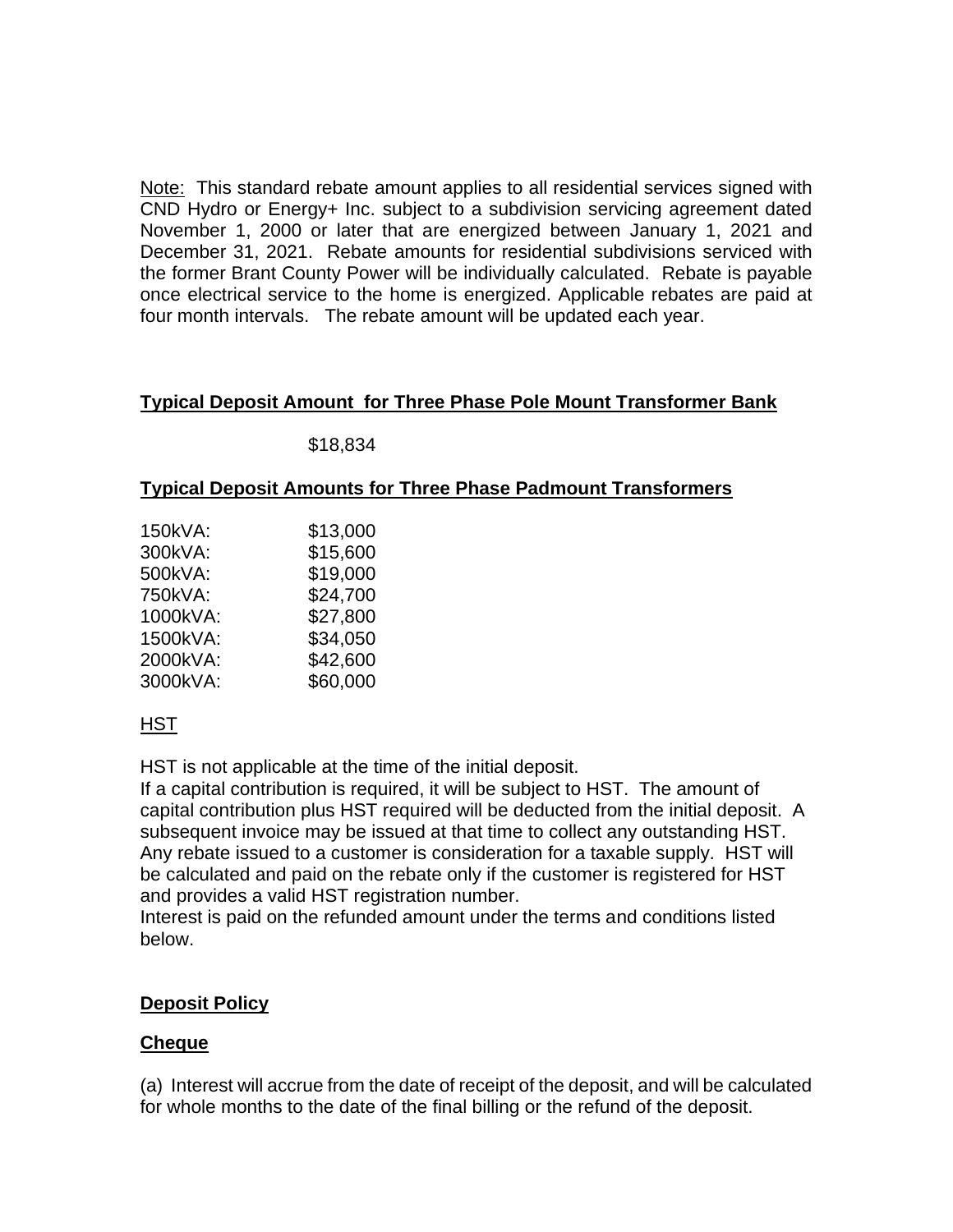Note: This standard rebate amount applies to all residential services signed with CND Hydro or Energy+ Inc. subject to a subdivision servicing agreement dated November 1, 2000 or later that are energized between January 1, 2021 and December 31, 2021. Rebate amounts for residential subdivisions serviced with the former Brant County Power will be individually calculated. Rebate is payable once electrical service to the home is energized. Applicable rebates are paid at four month intervals. The rebate amount will be updated each year.

#### **Typical Deposit Amount for Three Phase Pole Mount Transformer Bank**

\$18,834

#### **Typical Deposit Amounts for Three Phase Padmount Transformers**

| 150kVA:  | \$13,000 |
|----------|----------|
| 300kVA:  | \$15,600 |
| 500kVA:  | \$19,000 |
| 750kVA:  | \$24,700 |
| 1000kVA: | \$27,800 |
| 1500kVA: | \$34,050 |
| 2000kVA: | \$42,600 |
| 3000kVA: | \$60,000 |

#### HST

HST is not applicable at the time of the initial deposit.

If a capital contribution is required, it will be subject to HST. The amount of capital contribution plus HST required will be deducted from the initial deposit. A subsequent invoice may be issued at that time to collect any outstanding HST. Any rebate issued to a customer is consideration for a taxable supply. HST will be calculated and paid on the rebate only if the customer is registered for HST and provides a valid HST registration number.

Interest is paid on the refunded amount under the terms and conditions listed below.

#### **Deposit Policy**

#### **Cheque**

(a) Interest will accrue from the date of receipt of the deposit, and will be calculated for whole months to the date of the final billing or the refund of the deposit.